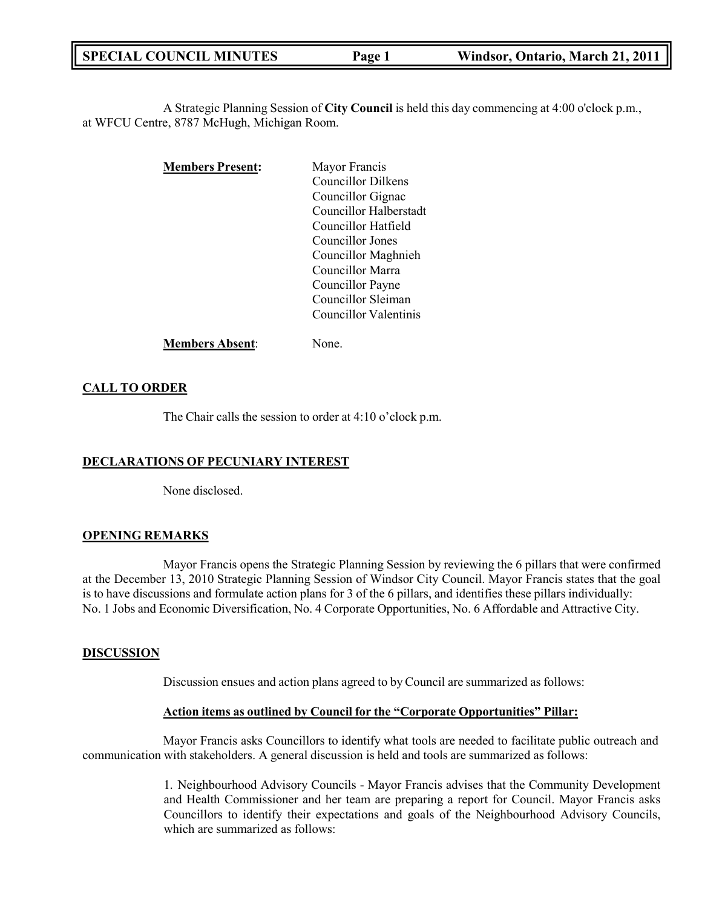A Strategic Planning Session of **City Council** is held this day commencing at 4:00 o'clock p.m., at WFCU Centre, 8787 McHugh, Michigan Room.

| <b>Members Present:</b> | Mayor Francis             |
|-------------------------|---------------------------|
|                         | <b>Councillor Dilkens</b> |
|                         | Councillor Gignac         |
|                         | Councillor Halberstadt    |
|                         | Councillor Hatfield       |
|                         | Councillor Jones          |
|                         | Councillor Maghnieh       |
|                         | Councillor Marra          |
|                         | Councillor Payne          |
|                         | Councillor Sleiman        |
|                         | Councillor Valentinis     |
| <b>Members Absent:</b>  | None.                     |

# **CALL TO ORDER**

The Chair calls the session to order at 4:10 o'clock p.m.

## **DECLARATIONS OF PECUNIARY INTEREST**

None disclosed.

## **OPENING REMARKS**

Mayor Francis opens the Strategic Planning Session by reviewing the 6 pillars that were confirmed at the December 13, 2010 Strategic Planning Session of Windsor City Council. Mayor Francis states that the goal is to have discussions and formulate action plans for 3 of the 6 pillars, and identifies these pillars individually: No. 1 Jobs and Economic Diversification, No. 4 Corporate Opportunities, No. 6 Affordable and Attractive City.

## **DISCUSSION**

Discussion ensues and action plans agreed to by Council are summarized as follows:

## **Action items as outlined by Council for the "Corporate Opportunities" Pillar:**

Mayor Francis asks Councillors to identify what tools are needed to facilitate public outreach and communication with stakeholders. A general discussion is held and tools are summarized as follows:

> 1. Neighbourhood Advisory Councils - Mayor Francis advises that the Community Development and Health Commissioner and her team are preparing a report for Council. Mayor Francis asks Councillors to identify their expectations and goals of the Neighbourhood Advisory Councils, which are summarized as follows: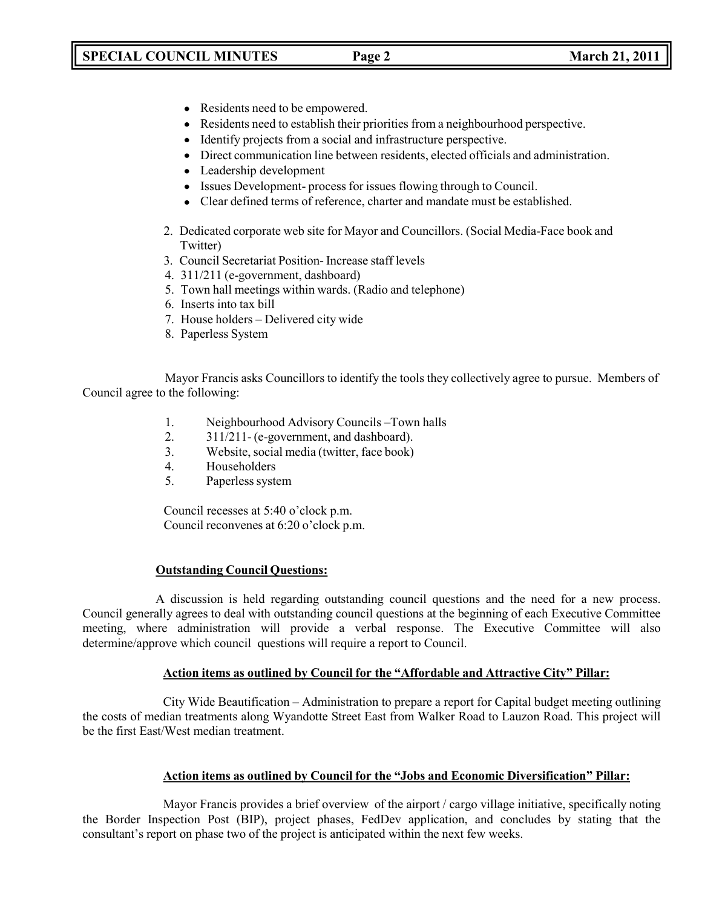- Residents need to be empowered.
- Residents need to establish their priorities from a neighbourhood perspective.
- Identify projects from a social and infrastructure perspective.
- Direct communication line between residents, elected officials and administration.
- Leadership development
- Issues Development- process for issues flowing through to Council.
- Clear defined terms of reference, charter and mandate must be established.
- 2. Dedicated corporate web site for Mayor and Councillors. (Social Media-Face book and Twitter)
- 3. Council Secretariat Position- Increase staff levels
- 4. 311/211 (e-government, dashboard)
- 5. Town hall meetings within wards. (Radio and telephone)
- 6. Inserts into tax bill
- 7. House holders Delivered city wide
- 8. Paperless System

Mayor Francis asks Councillors to identify the tools they collectively agree to pursue. Members of Council agree to the following:

- 1. Neighbourhood Advisory Councils –Town halls
- 2. 311/211- (e-government, and dashboard).
- 3. Website, social media (twitter, face book)
- 4. Householders
- 5. Paperless system

Council recesses at 5:40 o'clock p.m. Council reconvenes at 6:20 o'clock p.m.

## **Outstanding Council Questions:**

A discussion is held regarding outstanding council questions and the need for a new process. Council generally agrees to deal with outstanding council questions at the beginning of each Executive Committee meeting, where administration will provide a verbal response. The Executive Committee will also determine/approve which council questions will require a report to Council.

## **Action items as outlined by Council for the "Affordable and Attractive City" Pillar:**

City Wide Beautification – Administration to prepare a report for Capital budget meeting outlining the costs of median treatments along Wyandotte Street East from Walker Road to Lauzon Road. This project will be the first East/West median treatment.

## **Action items as outlined by Council for the "Jobs and Economic Diversification" Pillar:**

Mayor Francis provides a brief overview of the airport / cargo village initiative, specifically noting the Border Inspection Post (BIP), project phases, FedDev application, and concludes by stating that the consultant's report on phase two of the project is anticipated within the next few weeks.